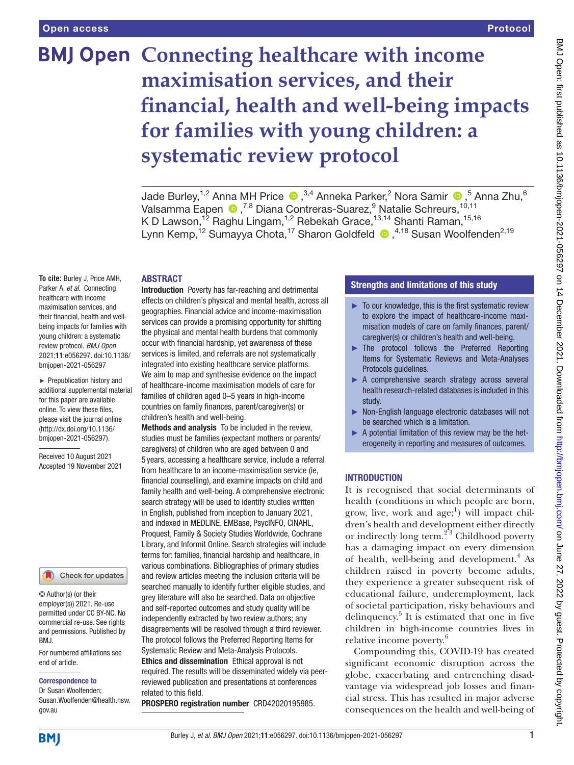# **BMJ Open Connecting healthcare with income maximisation services, and their financial, health and well-being impacts for families with young children: a systematic review protocol**

Jade Burley,<sup>1,2</sup> Anna MH Price  $\bullet$  ,<sup>3,4</sup> Anneka Parker,<sup>2</sup> Nora Samir  $\bullet$  ,<sup>5</sup> Anna Zhu,<sup>6</sup> Valsamma Eapen <sup>®</sup>,<sup>7,8</sup> Diana Contreras-Suarez,<sup>9</sup> Natalie Schreurs,<sup>10,11</sup> K D Lawson,<sup>12</sup> Raghu Lingam,<sup>1,2</sup> Rebekah Grace,<sup>13,14</sup> Shanti Raman,<sup>15,16</sup> LynnKemp,<sup>12</sup> Sumayya Chota,<sup>17</sup> Sharon Goldfeld <sup>1,4,18</sup> Susan Woolfenden<sup>2,19</sup>

## **ABSTRACT**

**To cite:** Burley J, Price AMH, Parker A, *et al*. Connecting healthcare with income maximisation services, and their financial, health and wellbeing impacts for families with young children: a systematic review protocol. *BMJ Open* 2021;11:e056297. doi:10.1136/ bmjopen-2021-056297

► Prepublication history and additional supplemental material for this paper are available online. To view these files, please visit the journal online [\(http://dx.doi.org/10.1136/](http://dx.doi.org/10.1136/bmjopen-2021-056297) [bmjopen-2021-056297](http://dx.doi.org/10.1136/bmjopen-2021-056297)).

Received 10 August 2021 Accepted 19 November 2021

#### Check for updates

© Author(s) (or their employer(s)) 2021. Re-use permitted under CC BY-NC. No commercial re-use. See rights and permissions. Published by BMJ.

For numbered affiliations see end of article.

#### Correspondence to

Dr Susan Woolfenden; Susan.Woolfenden@health.nsw. gov.au

Introduction Poverty has far-reaching and detrimental effects on children's physical and mental health, across all geographies. Financial advice and income-maximisation services can provide a promising opportunity for shifting the physical and mental health burdens that commonly occur with financial hardship, yet awareness of these services is limited, and referrals are not systematically integrated into existing healthcare service platforms. We aim to map and synthesise evidence on the impact of healthcare-income maximisation models of care for families of children aged 0–5 years in high-income countries on family finances, parent/caregiver(s) or children's health and well-being.

Methods and analysis To be included in the review, studies must be families (expectant mothers or parents/ caregivers) of children who are aged between 0 and 5 years, accessing a healthcare service, include a referral from healthcare to an income-maximisation service (ie, financial counselling), and examine impacts on child and family health and well-being. A comprehensive electronic search strategy will be used to identify studies written in English, published from inception to January 2021, and indexed in MEDLINE, EMBase, PsycINFO, CINAHL, Proquest, Family & Society Studies Worldwide, Cochrane Library, and Informit Online. Search strategies will include terms for: families, financial hardship and healthcare, in various combinations. Bibliographies of primary studies and review articles meeting the inclusion criteria will be searched manually to identify further eligible studies, and grey literature will also be searched. Data on objective and self-reported outcomes and study quality will be independently extracted by two review authors; any disagreements will be resolved through a third reviewer. The protocol follows the Preferred Reporting Items for Systematic Review and Meta-Analysis Protocols. Ethics and dissemination Ethical approval is not required. The results will be disseminated widely via peerreviewed publication and presentations at conferences related to this field.

PROSPERO registration number CRD42020195985.

### Strengths and limitations of this study

- $\blacktriangleright$  To our knowledge, this is the first systematic review to explore the impact of healthcare-income maximisation models of care on family finances, parent/ caregiver(s) or children's health and well-being.
- ► The protocol follows the Preferred Reporting Items for Systematic Reviews and Meta-Analyses Protocols guidelines.
- ► A comprehensive search strategy across several health research-related databases is included in this study.
- ► Non-English language electronic databases will not be searched which is a limitation.
- ► A potential limitation of this review may be the heterogeneity in reporting and measures of outcomes.

#### **INTRODUCTION**

It is recognised that social determinants of health (conditions in which people are born, grow, live, work and  $age;$ <sup>1</sup>) will impact children's health and development either directly or indirectly long term.<sup>2'3</sup> Childhood poverty has a damaging impact on every dimension of health, well-being and development.<sup>4</sup> As children raised in poverty become adults, they experience a greater subsequent risk of educational failure, underemployment, lack of societal participation, risky behaviours and delinquency.<sup>[5](#page-4-3)</sup> It is estimated that one in five children in high-income countries lives in relative income poverty.<sup>[6](#page-4-4)</sup>

Compounding this, COVID-19 has created significant economic disruption across the globe, exacerbating and entrenching disadvantage via widespread job losses and financial stress. This has resulted in major adverse consequences on the health and well-being of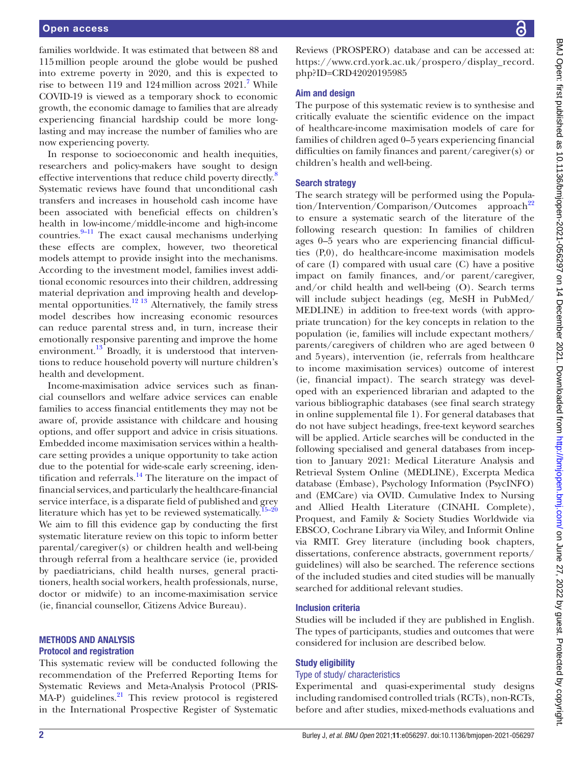families worldwide. It was estimated that between 88 and 115million people around the globe would be pushed into extreme poverty in 2020, and this is expected to rise to between 119 and 124 million across  $2021$ .<sup>[7](#page-4-5)</sup> While COVID-19 is viewed as a temporary shock to economic growth, the economic damage to families that are already experiencing financial hardship could be more longlasting and may increase the number of families who are now experiencing poverty.

In response to socioeconomic and health inequities, researchers and policy-makers have sought to design effective interventions that reduce child poverty directly.<sup>[8](#page-4-6)</sup> Systematic reviews have found that unconditional cash transfers and increases in household cash income have been associated with beneficial effects on children's health in low-income/middle-income and high-income countries. $9-11$  The exact causal mechanisms underlying these effects are complex, however, two theoretical models attempt to provide insight into the mechanisms. According to the investment model, families invest additional economic resources into their children, addressing material deprivation and improving health and developmental opportunities.<sup>12 13</sup> Alternatively, the family stress model describes how increasing economic resources can reduce parental stress and, in turn, increase their emotionally responsive parenting and improve the home environment.<sup>13</sup> Broadly, it is understood that interventions to reduce household poverty will nurture children's health and development.

Income-maximisation advice services such as financial counsellors and welfare advice services can enable families to access financial entitlements they may not be aware of, provide assistance with childcare and housing options, and offer support and advice in crisis situations. Embedded income maximisation services within a healthcare setting provides a unique opportunity to take action due to the potential for wide-scale early screening, identification and referrals[.14](#page-4-10) The literature on the impact of financial services, and particularly the healthcare-financial service interface, is a disparate field of published and grey literature which has yet to be reviewed systematically.<sup>15–20</sup> We aim to fill this evidence gap by conducting the first systematic literature review on this topic to inform better parental/caregiver(s) or children health and well-being through referral from a healthcare service (ie, provided by paediatricians, child health nurses, general practitioners, health social workers, health professionals, nurse, doctor or midwife) to an income-maximisation service (ie, financial counsellor, Citizens Advice Bureau).

## METHODS AND ANALYSIS Protocol and registration

This systematic review will be conducted following the recommendation of the Preferred Reporting Items for Systematic Reviews and Meta-Analysis Protocol (PRIS- $MA-P$ ) guidelines.<sup>[21](#page-4-12)</sup> This review protocol is registered in the International Prospective Register of Systematic

Reviews (PROSPERO) database and can be accessed at: [https://www.crd.york.ac.uk/prospero/display\\_record.](https://www.crd.york.ac.uk/prospero/display_record.php?ID=CRD42020195985) [php?ID=CRD42020195985](https://www.crd.york.ac.uk/prospero/display_record.php?ID=CRD42020195985)

# Aim and design

The purpose of this systematic review is to synthesise and critically evaluate the scientific evidence on the impact of healthcare-income maximisation models of care for families of children aged 0–5 years experiencing financial difficulties on family finances and parent/caregiver(s) or children's health and well-being.

# Search strategy

The search strategy will be performed using the Popula- $\frac{\text{tion}}{\text{Intervention}}$  Comparison/Outcomes approach<sup>[22](#page-4-13)</sup> to ensure a systematic search of the literature of the following research question: In families of children ages 0–5 years who are experiencing financial difficulties (P,0), do healthcare-income maximisation models of care (I) compared with usual care (C) have a positive impact on family finances, and/or parent/caregiver, and/or child health and well-being (O). Search terms will include subject headings (eg, MeSH in PubMed/ MEDLINE) in addition to free-text words (with appropriate truncation) for the key concepts in relation to the population (ie, families will include expectant mothers/ parents/caregivers of children who are aged between 0 and 5years), intervention (ie, referrals from healthcare to income maximisation services) outcome of interest (ie, financial impact). The search strategy was developed with an experienced librarian and adapted to the various bibliographic databases (see final search strategy in [online supplemental file 1\)](https://dx.doi.org/10.1136/bmjopen-2021-056297). For general databases that do not have subject headings, free-text keyword searches will be applied. Article searches will be conducted in the following specialised and general databases from inception to January 2021: Medical Literature Analysis and Retrieval System Online (MEDLINE), Excerpta Medica database (Embase), Psychology Information (PsycINFO) and (EMCare) via OVID. Cumulative Index to Nursing and Allied Health Literature (CINAHL Complete), Proquest, and Family & Society Studies Worldwide via EBSCO, Cochrane Library via Wiley, and Informit Online via RMIT. Grey literature (including book chapters, dissertations, conference abstracts, government reports/ guidelines) will also be searched. The reference sections of the included studies and cited studies will be manually searched for additional relevant studies.

# Inclusion criteria

Studies will be included if they are published in English. The types of participants, studies and outcomes that were considered for inclusion are described below.

## Study eligibility

## Type of study/ characteristics

Experimental and quasi-experimental study designs including randomised controlled trials (RCTs), non-RCTs, before and after studies, mixed-methods evaluations and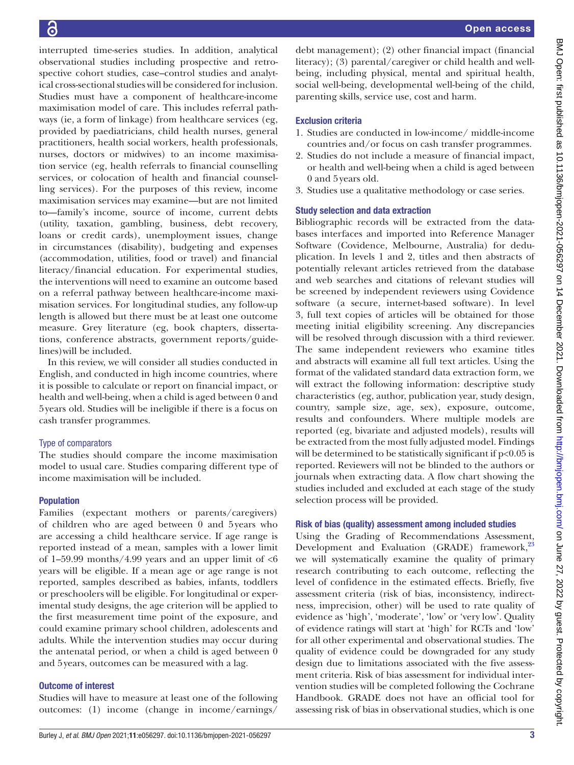interrupted time-series studies. In addition, analytical observational studies including prospective and retrospective cohort studies, case–control studies and analytical cross-sectional studies will be considered for inclusion. Studies must have a component of healthcare-income maximisation model of care. This includes referral pathways (ie, a form of linkage) from healthcare services (eg, provided by paediatricians, child health nurses, general practitioners, health social workers, health professionals, nurses, doctors or midwives) to an income maximisation service (eg, health referrals to financial counselling services, or colocation of health and financial counselling services). For the purposes of this review, income maximisation services may examine—but are not limited to—family's income, source of income, current debts (utility, taxation, gambling, business, debt recovery, loans or credit cards), unemployment issues, change in circumstances (disability), budgeting and expenses (accommodation, utilities, food or travel) and financial literacy/financial education. For experimental studies, the interventions will need to examine an outcome based on a referral pathway between healthcare-income maximisation services. For longitudinal studies, any follow-up length is allowed but there must be at least one outcome measure. Grey literature (eg, book chapters, dissertations, conference abstracts, government reports/guidelines)will be included.

In this review, we will consider all studies conducted in English, and conducted in high income countries, where it is possible to calculate or report on financial impact, or health and well-being, when a child is aged between 0 and 5years old. Studies will be ineligible if there is a focus on cash transfer programmes.

## Type of comparators

The studies should compare the income maximisation model to usual care. Studies comparing different type of income maximisation will be included.

# Population

Families (expectant mothers or parents/caregivers) of children who are aged between 0 and 5years who are accessing a child healthcare service. If age range is reported instead of a mean, samples with a lower limit of 1-59.99 months/4.99 years and an upper limit of  $<6$ years will be eligible. If a mean age or age range is not reported, samples described as babies, infants, toddlers or preschoolers will be eligible. For longitudinal or experimental study designs, the age criterion will be applied to the first measurement time point of the exposure, and could examine primary school children, adolescents and adults. While the intervention studies may occur during the antenatal period, or when a child is aged between 0 and 5years, outcomes can be measured with a lag.

# Outcome of interest

Studies will have to measure at least one of the following outcomes: (1) income (change in income/earnings/

debt management); (2) other financial impact (financial literacy); (3) parental/caregiver or child health and wellbeing, including physical, mental and spiritual health, social well-being, developmental well-being of the child, parenting skills, service use, cost and harm.

# Exclusion criteria

- 1. Studies are conducted in low-income/ middle-income countries and/or focus on cash transfer programmes.
- 2. Studies do not include a measure of financial impact, or health and well-being when a child is aged between 0 and 5years old.
- 3. Studies use a qualitative methodology or case series.

# Study selection and data extraction

Bibliographic records will be extracted from the databases interfaces and imported into Reference Manager Software (Covidence, Melbourne, Australia) for deduplication. In levels 1 and 2, titles and then abstracts of potentially relevant articles retrieved from the database and web searches and citations of relevant studies will be screened by independent reviewers using Covidence software (a secure, internet-based software). In level 3, full text copies of articles will be obtained for those meeting initial eligibility screening. Any discrepancies will be resolved through discussion with a third reviewer. The same independent reviewers who examine titles and abstracts will examine all full text articles. Using the format of the validated standard data extraction form, we will extract the following information: descriptive study characteristics (eg, author, publication year, study design, country, sample size, age, sex), exposure, outcome, results and confounders. Where multiple models are reported (eg, bivariate and adjusted models), results will be extracted from the most fully adjusted model. Findings will be determined to be statistically significant if  $p<0.05$  is reported. Reviewers will not be blinded to the authors or journals when extracting data. A flow chart showing the studies included and excluded at each stage of the study selection process will be provided.

## Risk of bias (quality) assessment among included studies

Using the Grading of Recommendations Assessment, Development and Evaluation (GRADE) framework,<sup>[23](#page-4-14)</sup> we will systematically examine the quality of primary research contributing to each outcome, reflecting the level of confidence in the estimated effects. Briefly, five assessment criteria (risk of bias, inconsistency, indirectness, imprecision, other) will be used to rate quality of evidence as 'high', 'moderate', 'low' or 'very low'. Quality of evidence ratings will start at 'high' for RCTs and 'low' for all other experimental and observational studies. The quality of evidence could be downgraded for any study design due to limitations associated with the five assessment criteria. Risk of bias assessment for individual intervention studies will be completed following the Cochrane Handbook. GRADE does not have an official tool for assessing risk of bias in observational studies, which is one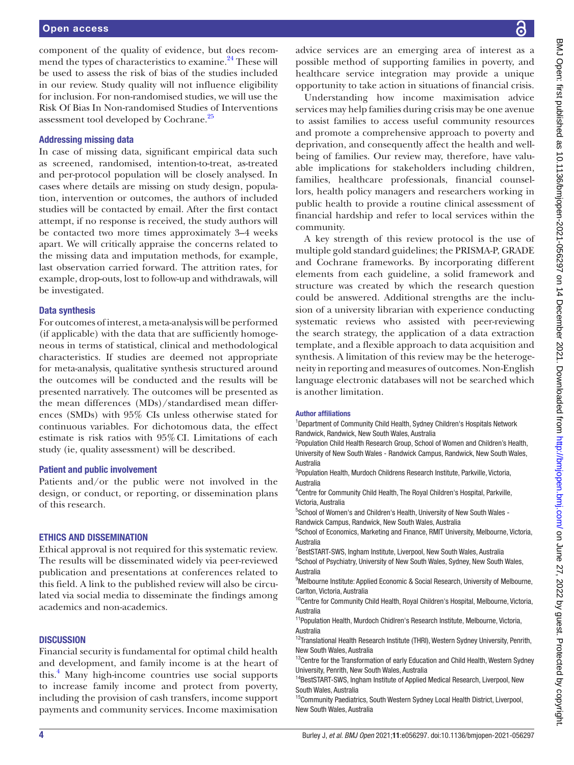component of the quality of evidence, but does recommend the types of characteristics to examine.<sup>24</sup> These will be used to assess the risk of bias of the studies included in our review. Study quality will not influence eligibility for inclusion. For non-randomised studies, we will use the Risk Of Bias In Non-randomised Studies of Interventions assessment tool developed by Cochrane.<sup>25</sup>

#### Addressing missing data

In case of missing data, significant empirical data such as screened, randomised, intention-to-treat, as-treated and per-protocol population will be closely analysed. In cases where details are missing on study design, population, intervention or outcomes, the authors of included studies will be contacted by email. After the first contact attempt, if no response is received, the study authors will be contacted two more times approximately 3–4 weeks apart. We will critically appraise the concerns related to the missing data and imputation methods, for example, last observation carried forward. The attrition rates, for example, drop-outs, lost to follow-up and withdrawals, will be investigated.

#### Data synthesis

For outcomes of interest, a meta-analysis will be performed (if applicable) with the data that are sufficiently homogeneous in terms of statistical, clinical and methodological characteristics. If studies are deemed not appropriate for meta-analysis, qualitative synthesis structured around the outcomes will be conducted and the results will be presented narratively. The outcomes will be presented as the mean differences (MDs)/standardised mean differences (SMDs) with 95% CIs unless otherwise stated for continuous variables. For dichotomous data, the effect estimate is risk ratios with 95%CI. Limitations of each study (ie, quality assessment) will be described.

#### Patient and public involvement

Patients and/or the public were not involved in the design, or conduct, or reporting, or dissemination plans of this research.

#### ETHICS AND DISSEMINATION

Ethical approval is not required for this systematic review. The results will be disseminated widely via peer-reviewed publication and presentations at conferences related to this field. A link to the published review will also be circulated via social media to disseminate the findings among academics and non-academics.

#### **DISCUSSION**

Financial security is fundamental for optimal child health and development, and family income is at the heart of this.[4](#page-4-2) Many high-income countries use social supports to increase family income and protect from poverty, including the provision of cash transfers, income support payments and community services. Income maximisation

advice services are an emerging area of interest as a possible method of supporting families in poverty, and healthcare service integration may provide a unique opportunity to take action in situations of financial crisis.

Understanding how income maximisation advice services may help families during crisis may be one avenue to assist families to access useful community resources and promote a comprehensive approach to poverty and deprivation, and consequently affect the health and wellbeing of families. Our review may, therefore, have valuable implications for stakeholders including children, families, healthcare professionals, financial counsellors, health policy managers and researchers working in public health to provide a routine clinical assessment of financial hardship and refer to local services within the community.

A key strength of this review protocol is the use of multiple gold standard guidelines; the PRISMA-P, GRADE and Cochrane frameworks. By incorporating different elements from each guideline, a solid framework and structure was created by which the research question could be answered. Additional strengths are the inclusion of a university librarian with experience conducting systematic reviews who assisted with peer-reviewing the search strategy, the application of a data extraction template, and a flexible approach to data acquisition and synthesis. A limitation of this review may be the heterogeneity in reporting and measures of outcomes. Non-English language electronic databases will not be searched which is another limitation.

#### Author affiliations

<sup>1</sup>Department of Community Child Health, Sydney Children's Hospitals Network Randwick, Randwick, New South Wales, Australia

<sup>2</sup>Population Child Health Research Group, School of Women and Children's Health, University of New South Wales - Randwick Campus, Randwick, New South Wales, Australia

3 Population Health, Murdoch Childrens Research Institute, Parkville, Victoria, Australia

4 Centre for Community Child Health, The Royal Children's Hospital, Parkville, Victoria, Australia

<sup>5</sup>School of Women's and Children's Health, University of New South Wales -Randwick Campus, Randwick, New South Wales, Australia

<sup>6</sup>School of Economics, Marketing and Finance, RMIT University, Melbourne, Victoria, Australia

<sup>7</sup>BestSTART-SWS, Ingham Institute, Liverpool, New South Wales, Australia

<sup>8</sup>School of Psychiatry, University of New South Wales, Sydney, New South Wales, Australia

<sup>9</sup>Melbourne Institute: Applied Economic & Social Research, University of Melbourne, Carlton, Victoria, Australia

<sup>10</sup>Centre for Community Child Health, Royal Children's Hospital, Melbourne, Victoria, Australia

<sup>11</sup> Population Health, Murdoch Chidlren's Research Institute, Melbourne, Victoria, Australia

<sup>12</sup>Translational Health Research Institute (THRI), Western Sydney University, Penrith, New South Wales, Australia

<sup>13</sup>Centre for the Transformation of early Education and Child Health, Western Sydney University, Penrith, New South Wales, Australia

<sup>14</sup>BestSTART-SWS, Ingham Institute of Applied Medical Research, Liverpool, New South Wales, Australia

<sup>15</sup>Community Paediatrics, South Western Sydney Local Health District, Liverpool, New South Wales, Australia